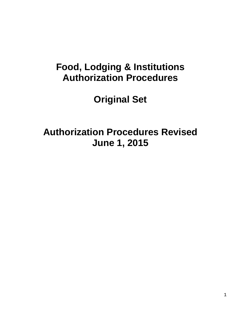## **Food, Lodging & Institutions Authorization Procedures**

# **Original Set**

# **Authorization Procedures Revised June 1, 2015**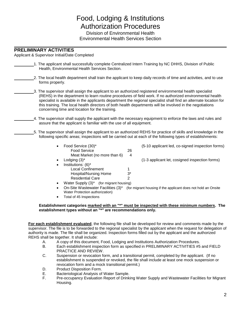### Food, Lodging & Institutions Authorization Procedures Division of Environmental Health

Environmental Health Services Section

### **PRELIMINARY ACTIVITIES**

Applicant & Supervisor Initial/Date Completed

- 1. The applicant shall successfully complete Centralized Intern Training by NC DHHS, Division of Public Health, Environmental Health Services Section.
	- 2. The local health department shall train the applicant to keep daily records of time and activities, and to use forms properly.
	- 3. The supervisor shall assign the applicant to an authorized registered environmental health specialist (REHS) in the department to learn routine procedures of field work. If no authorized environmental health specialist is available in the applicants department the regional specialist shall find an alternate location for this training. The local health directors of both health departments will be involved in the negotiations concerning time and location for the training.
		- 4. The supervisor shall supply the applicant with the necessary equipment to enforce the laws and rules and assure that the applicant is familiar with the use of all equipment.
	- 5. The supervisor shall assign the applicant to an authorized REHS for practice of skills and knowledge in the following specific areas; inspections will be carried out at each of the following types of establishments:
		- Food Service (30)\* (5-10 applicant led, co-signed inspection forms) Food Service 26 Meat Market (no more than 6) 4 Lodging (3)<sup>\*</sup>  $(1-3$  applicant let, cosigned inspection forms) • Institutions: (6)\* Local Confinement 1 Hospital/Nursing Home 3\* Residential Care 2 Water Supply (3)<sup>\*</sup> (for migrant housing)
		- On-Site Wastewater Facilities (3)\* (for migrant housing if the applicant does not hold an Onsite Water Protection authorization)
		- Total of 45 Inspections

#### **Establishment categories marked with an "\*" must be inspected with these minimum numbers. The establishment types without an "\*" are recommendations only.**

**For each establishment evaluated**, the following file shall be developed for review and comments made by the supervisor. The file is to be forwarded to the regional specialist by the applicant when the request for delegation of authority is made. The file shall be organized. Inspection forms filled out by the applicant and the authorized REHS shall be together. It shall include:

- A. A copy of this document, Food, Lodging and Institutions Authorization Procedures.
- B. Each establishment inspection form as specified in PRELIMINARY ACTIVITIES #5 and FIELD PRACTICE AND REVIEW.
- C. Suspension or revocation form, and a transitional permit, completed by the applicant. (If no establishment is suspended or revoked, the file shall include at least one mock suspension or revocation form and a mock transitional permit.)
- D. Product Disposition Form.
- E. Bacteriological Analysis of Water Sample.
- F. Pre-occupancy Evaluation Report of Drinking Water Supply and Wastewater Facilities for Migrant Housing.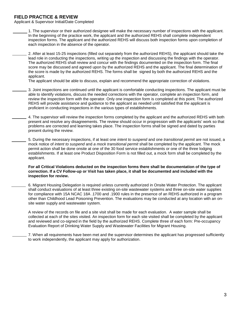#### **FIELD PRACTICE & REVIEW**

Applicant & Supervisor Initial/Date Completed

- 1. The supervisor or their authorized designee will make the necessary number of inspections with the applicant. In the beginning of the practice work, the applicant and the authorized REHS shall complete independent inspection forms. The applicant and the authorized REHS will discuss both inspection forms upon completion of each inspection in the absence of the operator.
- 2. After at least 15-25 inspections (filled out separately from the authorized REHS), the applicant should take the lead role in conducting the inspections, writing up the inspection and discussing the findings with the operator. The authorized REHS shall review and concur with the findings documented on the inspection form. The final score may be discussed and agreed upon by the authorized REHS and the applicant. The final determination of the score is made by the authorized REHS. The forms shall be signed by both the authorized REHS and the applicant.

The applicant should be able to discuss, explain and recommend the appropriate correction of violations.

- 3. Joint inspections are continued until the applicant is comfortable conducting inspections. The applicant must be able to identify violations, discuss the needed corrections with the operator, complete an inspection form, and review the inspection form with the operator. Only one inspection form is completed at this point. The authorized REHS will provide assistance and guidance to the applicant as needed until satisfied that the applicant is proficient in conducting inspections in the various types of establishments.
- 4. The supervisor will review the inspection forms completed by the applicant and the authorized REHS with both present and resolve any disagreements. The review should occur in progression with the applicants' work so that problems are corrected and learning takes place. The inspection forms shall be signed and dated by parties present during the review.
	- 5. During the necessary inspections, if at least one *intent to suspend* and one *transitional permit* are not issued, a mock notice of *intent to suspend* and *a mock transitional permit* shall be completed by the applicant. The mock permit action shall be done onsite at one of the 30 food service establishments or one of the three lodging establishments. If at least one Product Disposition Form is not filled out, a mock form shall be completed by the applicant.

#### **For all Critical Violations deducted on the inspection forms there shall be documentation of the type of correction. If a CV Follow-up or Visit has taken place, it shall be documented and included with the inspection for review.**

6. Migrant Housing Delegation is required unless currently authorized in Onsite Water Protection. The applicant shall conduct evaluations of at least three existing on-site wastewater systems and three on-site water supplies for compliance with 15A NCAC 18A .1700 and .1900 rules in the presence of an REHS authorized in a program other than Childhood Lead Poisoning Prevention. The evaluations may be conducted at any location with an onsite water supply and wastewater system.

A review of the records on file and a site visit shall be made for each evaluation. A water sample shall be collected at each of the sites visited. An inspection form for each site visited shall be completed by the applicant and reviewed and co-signed in the field by the authorized REHS. Complete three of each form: Pre-occupancy Evaluation Report of Drinking Water Supply and Wastewater Facilities for Migrant Housing.

7. When all requirements have been met and the supervisor determines the applicant has progressed sufficiently to work independently, the applicant may apply for authorization.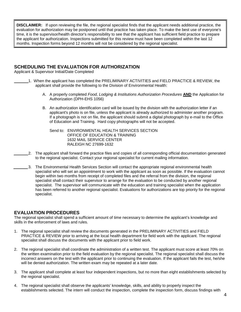**DISCLAIMER:** If upon reviewing the file, the regional specialist finds that the applicant needs additional practice, the evaluation for authorization may be postponed until that practice has taken place. To make the best use of everyone's time, it is the supervisor/health director's responsibility to see that the applicant has sufficient field practice to prepare the applicant for authorization. Inspections submitted for this review must have been completed within the last 12 months. Inspection forms beyond 12 months will not be considered by the regional specialist.

#### **SCHEDULING THE EVALUATION FOR AUTHORIZATION**

Applicant & Supervisor Initial/Date Completed

- 1. When the applicant has completed the PRELIMINARY ACTIVITIES and FIELD PRACTICE & REVIEW, the applicant shall provide the following to the Division of Environmental Health:
	- A. A properly completed *Food, Lodging & Institutions Authorization Procedures* **AND** the Application for Authorization (DPH-EHS 1056)
	- B. An authorization identification card will be issued by the division with the authorization letter if an applicant's photo is on file, unless the applicant is already authorized to administer another program. If a photograph is not on file, the applicant should submit a digital photograph by e-mail to the Office of Education and Training. Hard copy photographs will not be accepted.

Send to: ENVIRONMENTAL HEALTH SERVICES SECTION OFFICE OF EDUCATION & TRAINING 1632 MAIL SERVICE CENTER RALEIGH NC 27699-1632

- 2. The applicant shall forward the practice files and copies of all corresponding official documentation generated to the regional specialist. Contact your regional specialist for current mailing information.
- 3. The Environmental Health Services Section will contact the appropriate regional environmental health specialist who will set an appointment to work with the applicant as soon as possible. If the evaluation cannot begin within two months from receipt of completed files and the referral from the division, the regional specialist shall contact their supervisor to arrange for the evaluation to be conducted by another regional specialist. The supervisor will communicate with the education and training specialist when the application has been referred to another regional specialist. Evaluations for authorizations are top priority for the regional specialist.

#### **EVALUATION PROCEDURES**

The regional specialist shall spend a sufficient amount of time necessary to determine the applicant's knowledge and skills in the enforcement of laws and rules.

- 1. The regional specialist shall review the documents generated in the PRELIMINARY ACTIVITIES and FIELD PRACTICE & REVIEW prior to arriving at the local health department for field work with the applicant. The regional specialist shall discuss the documents with the applicant prior to field work.
- 2. The regional specialist shall coordinate the administration of a written test. The applicant must score at least 70% on the written examination prior to the field evaluation by the regional specialist. The regional specialist shall discuss the incorrect answers on the test with the applicant prior to continuing the evaluation. If the applicant fails the test, he/she will be denied authorization. The written exam may be repeated at a later date.
- 3. The applicant shall complete at least four independent inspections, but no more than eight establishments selected by the regional specialist.
- 4. The regional specialist shall observe the applicants' knowledge, skills, and ability to properly inspect the establishments selected. The intern will conduct the inspection, complete the inspection form, discuss findings with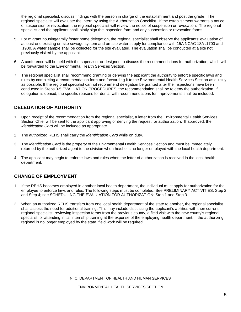the regional specialist, discuss findings with the person in charge of the establishment and post the grade. The regional specialist will evaluate the intern by using the Authorization Checklist. If the establishment warrants a notice of suspension or revocation, the regional specialist will review the notice of suspension or revocation. The regional specialist and the applicant shall jointly sign the inspection form and any suspension or revocation forms.

- 5. For migrant housing/family foster home delegation, the regional specialist shall observe the applicants' evaluation of at least one existing on-site sewage system and on-site water supply for compliance with 15A NCAC 18A .1700 and .1900. A water sample shall be collected for the site evaluated. The evaluation shall be conducted at a site not previously visited by the applicant.
- 6. A conference will be held with the supervisor or designee to discuss the recommendations for authorization, which will be forwarded to the Environmental Health Services Section.
- 7. The regional specialist shall recommend granting or denying the applicant the authority to enforce specific laws and rules by completing a recommendation form and forwarding it to the Environmental Health Services Section as quickly as possible. If the regional specialist cannot recommend delegation be granted after the inspections have been conducted in Steps 3-5 EVALUATION PROCEDURES, the recommendation shall be to deny the authorization. If delegation is denied, the specific reasons for denial with recommendations for improvements shall be included.

### **DELEGATION OF AUTHORITY**

- 1. Upon receipt of the recommendation from the regional specialist, a letter from the Environmental Health Services Section Chief will be sent to the applicant approving or denying the request for authorization. If approved, the *Identification Card* will be included as appropriate.
- 2. The authorized REHS shall carry the *Identification Card* while on duty.
- 3. The *Identification Card* is the property of the Environmental Health Services Section and must be immediately returned by the authorized agent to the division when he/she is no longer employed with the local health department.
- 4. The applicant may begin to enforce laws and rules when the letter of authorization is received in the local health department.

#### **CHANGE OF EMPLOYMENT**

- 1. If the REHS becomes employed in another local health department, the individual must apply for authorization for the employee to enforce laws and rules. The following steps must be completed. See PRELIMINARY ACTIVITIES, Step 2 and Step 4; see SCHEDULING THE EVALUATION FOR AUTHORIZATION: Step 1 and Step 3.
- 2. When an authorized REHS transfers from one local health department of the state to another, the regional specialist shall assess the need for additional training. This may include discussing the applicant's abilities with their current regional specialist, reviewing inspection forms from the previous county, a field visit with the new county's regional specialist, or attending initial internship training at the expense of the employing health department. If the authorizing regional is no longer employed by the state, field work will be required.